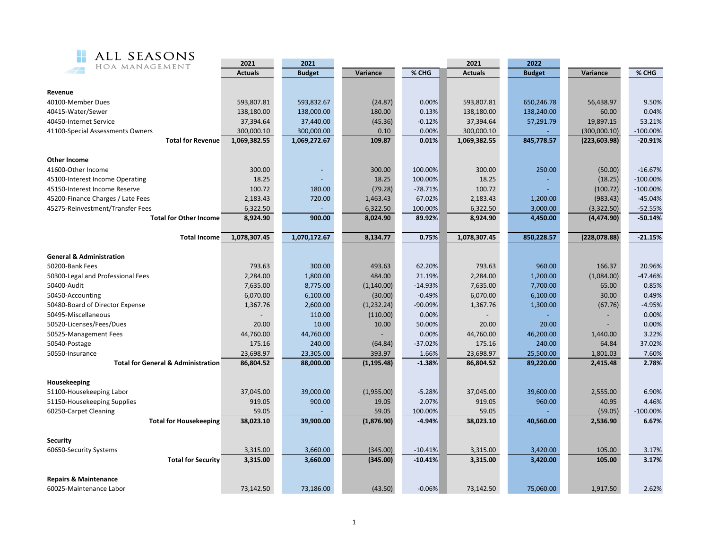

| HOA MANAGEMENT                                | ZUZI           | ZUZI          |             |           |                | ZUZZ          |               |             |
|-----------------------------------------------|----------------|---------------|-------------|-----------|----------------|---------------|---------------|-------------|
|                                               | <b>Actuals</b> | <b>Budget</b> | Variance    | % CHG     | <b>Actuals</b> | <b>Budget</b> | Variance      | % CHG       |
|                                               |                |               |             |           |                |               |               |             |
| Revenue                                       |                |               |             |           |                |               |               |             |
| 40100-Member Dues                             | 593,807.81     | 593,832.67    | (24.87)     | 0.00%     | 593,807.81     | 650,246.78    | 56,438.97     | 9.50%       |
| 40415-Water/Sewer                             | 138,180.00     | 138,000.00    | 180.00      | 0.13%     | 138,180.00     | 138,240.00    | 60.00         | 0.04%       |
| 40450-Internet Service                        | 37,394.64      | 37,440.00     | (45.36)     | $-0.12%$  | 37,394.64      | 57,291.79     | 19,897.15     | 53.21%      |
| 41100-Special Assessments Owners              | 300,000.10     | 300,000.00    | 0.10        | 0.00%     | 300,000.10     |               | (300,000.10)  | $-100.00\%$ |
| <b>Total for Revenue</b>                      | 1,069,382.55   | 1,069,272.67  | 109.87      | 0.01%     | 1,069,382.55   | 845,778.57    | (223, 603.98) | $-20.91%$   |
|                                               |                |               |             |           |                |               |               |             |
| <b>Other Income</b>                           |                |               |             |           |                |               |               |             |
| 41600-Other Income                            | 300.00         |               | 300.00      | 100.00%   | 300.00         | 250.00        | (50.00)       | $-16.67%$   |
| 45100-Interest Income Operating               | 18.25          |               | 18.25       | 100.00%   | 18.25          |               | (18.25)       | $-100.00\%$ |
| 45150-Interest Income Reserve                 | 100.72         | 180.00        | (79.28)     | $-78.71%$ | 100.72         |               | (100.72)      | $-100.00\%$ |
| 45200-Finance Charges / Late Fees             | 2,183.43       | 720.00        | 1,463.43    | 67.02%    | 2,183.43       | 1,200.00      | (983.43)      | $-45.04%$   |
| 45275-Reinvestment/Transfer Fees              | 6,322.50       |               | 6,322.50    | 100.00%   | 6,322.50       | 3,000.00      | (3,322.50)    | $-52.55%$   |
| <b>Total for Other Income</b>                 | 8,924.90       | 900.00        | 8,024.90    | 89.92%    | 8,924.90       | 4,450.00      | (4,474.90)    | $-50.14%$   |
| <b>Total Income</b>                           | 1,078,307.45   | 1,070,172.67  | 8,134.77    | 0.75%     | 1,078,307.45   | 850,228.57    | (228, 078.88) | $-21.15%$   |
|                                               |                |               |             |           |                |               |               |             |
| <b>General &amp; Administration</b>           |                |               |             |           |                |               |               |             |
| 50200-Bank Fees                               | 793.63         | 300.00        | 493.63      | 62.20%    | 793.63         | 960.00        | 166.37        | 20.96%      |
| 50300-Legal and Professional Fees             | 2,284.00       | 1,800.00      | 484.00      | 21.19%    | 2,284.00       | 1,200.00      | (1,084.00)    | $-47.46%$   |
| 50400-Audit                                   | 7,635.00       | 8,775.00      | (1,140.00)  | $-14.93%$ | 7,635.00       | 7,700.00      | 65.00         | 0.85%       |
| 50450-Accounting                              | 6,070.00       | 6,100.00      | (30.00)     | $-0.49%$  | 6,070.00       | 6,100.00      | 30.00         | 0.49%       |
| 50480-Board of Director Expense               | 1,367.76       | 2,600.00      | (1,232.24)  | -90.09%   | 1,367.76       | 1,300.00      | (67.76)       | $-4.95%$    |
| 50495-Miscellaneous                           |                | 110.00        | (110.00)    | 0.00%     |                |               |               | 0.00%       |
| 50520-Licenses/Fees/Dues                      | 20.00          | 10.00         | 10.00       | 50.00%    | 20.00          | 20.00         |               | 0.00%       |
| 50525-Management Fees                         | 44,760.00      | 44,760.00     |             | 0.00%     | 44,760.00      | 46,200.00     | 1,440.00      | 3.22%       |
| 50540-Postage                                 | 175.16         | 240.00        | (64.84)     | $-37.02%$ | 175.16         | 240.00        | 64.84         | 37.02%      |
| 50550-Insurance                               | 23,698.97      | 23,305.00     | 393.97      | 1.66%     | 23,698.97      | 25,500.00     | 1,801.03      | 7.60%       |
| <b>Total for General &amp; Administration</b> | 86,804.52      | 88,000.00     | (1, 195.48) | $-1.38%$  | 86,804.52      | 89,220.00     | 2,415.48      | 2.78%       |
| Housekeeping                                  |                |               |             |           |                |               |               |             |
| 51100-Housekeeping Labor                      | 37,045.00      | 39,000.00     | (1,955.00)  | $-5.28%$  | 37,045.00      | 39,600.00     | 2,555.00      | 6.90%       |
| 51150-Housekeeping Supplies                   | 919.05         | 900.00        | 19.05       | 2.07%     | 919.05         | 960.00        | 40.95         | 4.46%       |
| 60250-Carpet Cleaning                         | 59.05          |               | 59.05       | 100.00%   | 59.05          |               | (59.05)       | $-100.00\%$ |
| <b>Total for Housekeeping</b>                 | 38,023.10      | 39,900.00     | (1,876.90)  | $-4.94%$  | 38,023.10      | 40,560.00     | 2,536.90      | 6.67%       |
|                                               |                |               |             |           |                |               |               |             |
| Security                                      |                |               |             |           |                |               |               |             |
| 60650-Security Systems                        | 3,315.00       | 3,660.00      | (345.00)    | $-10.41%$ | 3,315.00       | 3,420.00      | 105.00        | 3.17%       |
| <b>Total for Security</b>                     | 3,315.00       | 3,660.00      | (345.00)    | $-10.41%$ | 3,315.00       | 3,420.00      | 105.00        | 3.17%       |
| <b>Repairs &amp; Maintenance</b>              |                |               |             |           |                |               |               |             |
| 60025-Maintenance Labor                       | 73,142.50      | 73,186.00     | (43.50)     | $-0.06%$  | 73,142.50      | 75,060.00     | 1,917.50      | 2.62%       |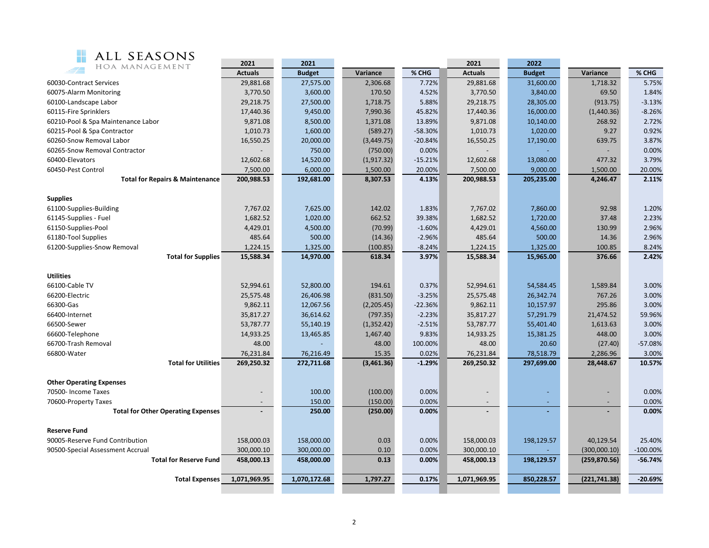

| ALL SEASONS                                | 2021           | 2021          |             |           | 2021                     | 2022          |               |             |
|--------------------------------------------|----------------|---------------|-------------|-----------|--------------------------|---------------|---------------|-------------|
| HOA MANAGEMENT                             | <b>Actuals</b> | <b>Budget</b> | Variance    | % CHG     | <b>Actuals</b>           | <b>Budget</b> | Variance      | % CHG       |
| 60030-Contract Services                    | 29,881.68      | 27,575.00     | 2,306.68    | 7.72%     | 29,881.68                | 31,600.00     | 1,718.32      | 5.75%       |
| 60075-Alarm Monitoring                     | 3,770.50       | 3,600.00      | 170.50      | 4.52%     | 3,770.50                 | 3,840.00      | 69.50         | 1.84%       |
| 60100-Landscape Labor                      | 29,218.75      | 27,500.00     | 1,718.75    | 5.88%     | 29,218.75                | 28,305.00     | (913.75)      | $-3.13%$    |
| 60115-Fire Sprinklers                      | 17,440.36      | 9,450.00      | 7,990.36    | 45.82%    | 17,440.36                | 16,000.00     | (1,440.36)    | $-8.26%$    |
| 60210-Pool & Spa Maintenance Labor         | 9,871.08       | 8,500.00      | 1,371.08    | 13.89%    | 9,871.08                 | 10,140.00     | 268.92        | 2.72%       |
| 60215-Pool & Spa Contractor                | 1,010.73       | 1,600.00      | (589.27)    | -58.30%   | 1,010.73                 | 1,020.00      | 9.27          | 0.92%       |
| 60260-Snow Removal Labor                   | 16,550.25      | 20,000.00     | (3,449.75)  | $-20.84%$ | 16,550.25                | 17,190.00     | 639.75        | 3.87%       |
| 60265-Snow Removal Contractor              |                | 750.00        | (750.00)    | 0.00%     |                          |               |               | 0.00%       |
| 60400-Elevators                            | 12,602.68      | 14,520.00     | (1, 917.32) | $-15.21%$ | 12,602.68                | 13,080.00     | 477.32        | 3.79%       |
| 60450-Pest Control                         | 7,500.00       | 6,000.00      | 1,500.00    | 20.00%    | 7,500.00                 | 9,000.00      | 1,500.00      | 20.00%      |
| <b>Total for Repairs &amp; Maintenance</b> | 200,988.53     | 192,681.00    | 8,307.53    | 4.13%     | 200,988.53               | 205,235.00    | 4,246.47      | 2.11%       |
| <b>Supplies</b>                            |                |               |             |           |                          |               |               |             |
| 61100-Supplies-Building                    | 7,767.02       | 7,625.00      | 142.02      | 1.83%     | 7,767.02                 | 7,860.00      | 92.98         | 1.20%       |
| 61145-Supplies - Fuel                      | 1,682.52       | 1,020.00      | 662.52      | 39.38%    | 1,682.52                 | 1,720.00      | 37.48         | 2.23%       |
| 61150-Supplies-Pool                        | 4,429.01       | 4,500.00      | (70.99)     | $-1.60%$  | 4,429.01                 | 4,560.00      | 130.99        | 2.96%       |
| 61180-Tool Supplies                        | 485.64         | 500.00        | (14.36)     | $-2.96%$  | 485.64                   | 500.00        | 14.36         | 2.96%       |
| 61200-Supplies-Snow Removal                | 1,224.15       | 1,325.00      | (100.85)    | $-8.24%$  | 1,224.15                 | 1,325.00      | 100.85        | 8.24%       |
| <b>Total for Supplies</b>                  | 15,588.34      | 14,970.00     | 618.34      | 3.97%     | 15,588.34                | 15,965.00     | 376.66        | 2.42%       |
| <b>Utilities</b>                           |                |               |             |           |                          |               |               |             |
| 66100-Cable TV                             | 52,994.61      | 52,800.00     | 194.61      | 0.37%     | 52,994.61                | 54,584.45     | 1,589.84      | 3.00%       |
| 66200-Electric                             | 25,575.48      | 26,406.98     | (831.50)    | $-3.25%$  | 25,575.48                | 26,342.74     | 767.26        | 3.00%       |
| 66300-Gas                                  | 9,862.11       | 12,067.56     | (2,205.45)  | $-22.36%$ | 9,862.11                 | 10,157.97     | 295.86        | 3.00%       |
| 66400-Internet                             | 35,817.27      | 36,614.62     | (797.35)    | $-2.23%$  | 35,817.27                | 57,291.79     | 21,474.52     | 59.96%      |
| 66500-Sewer                                | 53,787.77      | 55,140.19     | (1,352.42)  | $-2.51%$  | 53,787.77                | 55,401.40     | 1,613.63      | 3.00%       |
| 66600-Telephone                            | 14,933.25      | 13,465.85     | 1,467.40    | 9.83%     | 14,933.25                | 15,381.25     | 448.00        | 3.00%       |
| 66700-Trash Removal                        | 48.00          |               | 48.00       | 100.00%   | 48.00                    | 20.60         | (27.40)       | $-57.08%$   |
| 66800-Water                                | 76,231.84      | 76,216.49     | 15.35       | 0.02%     | 76,231.84                | 78,518.79     | 2,286.96      | 3.00%       |
| <b>Total for Utilities</b>                 | 269,250.32     | 272,711.68    | (3,461.36)  | $-1.29%$  | 269,250.32               | 297,699.00    | 28,448.67     | 10.57%      |
| <b>Other Operating Expenses</b>            |                |               |             |           |                          |               |               |             |
| 70500- Income Taxes                        |                | 100.00        | (100.00)    | 0.00%     | $\overline{\phantom{a}}$ |               |               | 0.00%       |
| 70600-Property Taxes                       |                | 150.00        | (150.00)    | 0.00%     |                          |               |               | 0.00%       |
| <b>Total for Other Operating Expenses</b>  |                | 250.00        | (250.00)    | 0.00%     |                          |               |               | 0.00%       |
| <b>Reserve Fund</b>                        |                |               |             |           |                          |               |               |             |
| 90005-Reserve Fund Contribution            | 158,000.03     | 158,000.00    | 0.03        | 0.00%     | 158,000.03               | 198,129.57    | 40,129.54     | 25.40%      |
| 90500-Special Assessment Accrual           | 300,000.10     | 300,000.00    | 0.10        | 0.00%     | 300,000.10               |               | (300,000.10)  | $-100.00\%$ |
| <b>Total for Reserve Fund</b>              | 458,000.13     | 458,000.00    | 0.13        | 0.00%     | 458,000.13               | 198,129.57    | (259, 870.56) | $-56.74%$   |
| <b>Total Expenses</b>                      | 1,071,969.95   | 1,070,172.68  | 1,797.27    | 0.17%     | 1,071,969.95             | 850,228.57    | (221, 741.38) | $-20.69%$   |
|                                            |                |               |             |           |                          |               |               |             |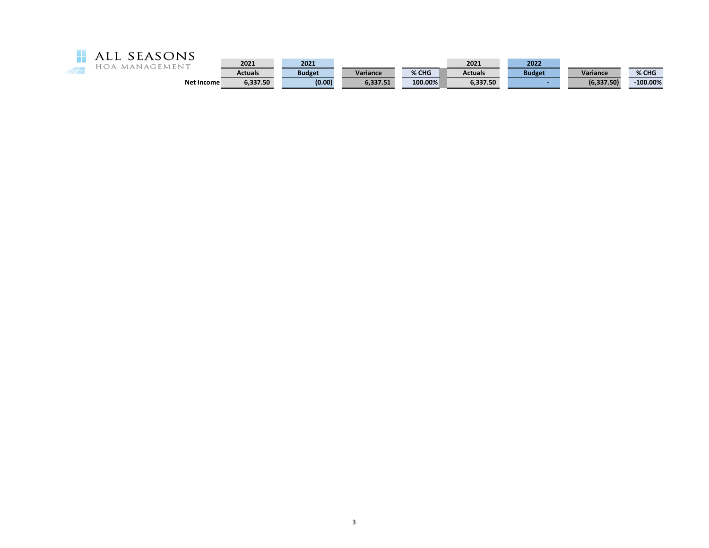

| - - - -    | 2021     | 2021          |          |         | 2021           | 2022          |                 |             |
|------------|----------|---------------|----------|---------|----------------|---------------|-----------------|-------------|
|            | Actuals  | <b>Budget</b> | Variance | % CHG   | <b>Actuals</b> | <b>Budget</b> | <b>Variance</b> | % CHG       |
| Net Income | 6,337.50 | (0.00)        | 5.337.51 | 100.00% | 6.337.50       |               | (6.337.50)      | $-100.00\%$ |